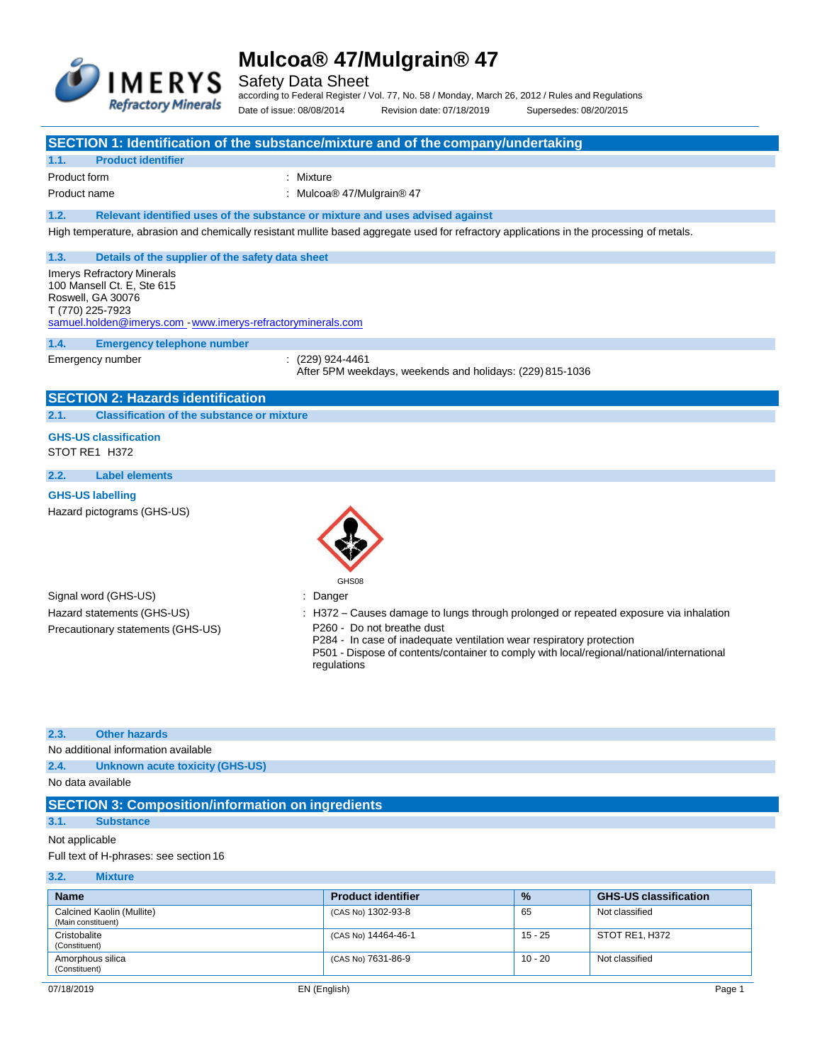

Safety Data Sheet

according to Federal Register / Vol. 77, No. 58 / Monday, March 26, 2012 / Rules and Regulations Date of issue: 08/08/2014 Revision date: 07/18/2019 Supersedes: 08/20/2015

#### **SECTION 1: Identification of the substance/mixture and of the company/undertaking**

# **1.1. Product identifier**

Product form : Nixture : Mixture

Product name  $\qquad \qquad$ : Mulcoa® 47/Mulgrain® 47

**1.2. Relevant identified uses of the substance or mixture and uses advised against**

High temperature, abrasion and chemically resistant mullite based aggregate used for refractory applications in the processing of metals.

### **1.3. Details of the supplier of the safety data sheet**

Imerys Refractory Minerals 100 Mansell Ct. E, Ste 615 Roswell, GA 30076 T (770) 225-7923 [samuel.holden@imerys.com -](mailto:samuel.holden@imerys.com) [www.imerys-refractoryminerals.com](http://www.imerys-refractoryminerals.com/)

**1.4. Emergency telephone number**

Emergency number : (229) 924-4461 After 5PM weekdays, weekends and holidays: (229) 815-1036

# **SECTION 2: Hazards identification**

#### **2.1. Classification of the substance or mixture**

**GHS-US classification**

# STOT RE1 H372

# **2.2. Label elements**

# **GHS-US labelling**

Hazard pictograms (GHS-US)



Signal word (GHS-US) in the state of the Signal word (GHS-US) in the state of the Signal word of the Signal Signal Signal Signal Signal Signal Signal Signal Signal Signal Signal Signal Signal Signal Signal Signal Signal Si Precautionary statements (GHS-US) : P260 - Do not breathe dust

Hazard statements (GHS-US) : H372 – Causes damage to lungs through prolonged or repeated exposure via inhalation

P284 - In case of inadequate ventilation wear respiratory protection

P501 - Dispose of contents/container to comply with local/regional/national/international regulations

# **2.3. Other hazards**

No additional information available

**2.4. Unknown acute toxicity (GHS-US)**

No data available

# **SECTION 3: Composition/information on ingredients**

# **3.1. Substance**

# Not applicable

Full text of H-phrases: see section 16

### **3.2. Mixture**

| <b>Name</b>                                     | <b>Product identifier</b> | $\frac{9}{6}$ | <b>GHS-US classification</b> |
|-------------------------------------------------|---------------------------|---------------|------------------------------|
| Calcined Kaolin (Mullite)<br>(Main constituent) | (CAS No) 1302-93-8        | 65            | Not classified               |
| Cristobalite<br>(Constituent)                   | (CAS No) 14464-46-1       | 15 - 25       | STOT RE1, H372               |
| Amorphous silica<br>(Constituent)               | (CAS No) 7631-86-9        | 10 - 20       | Not classified               |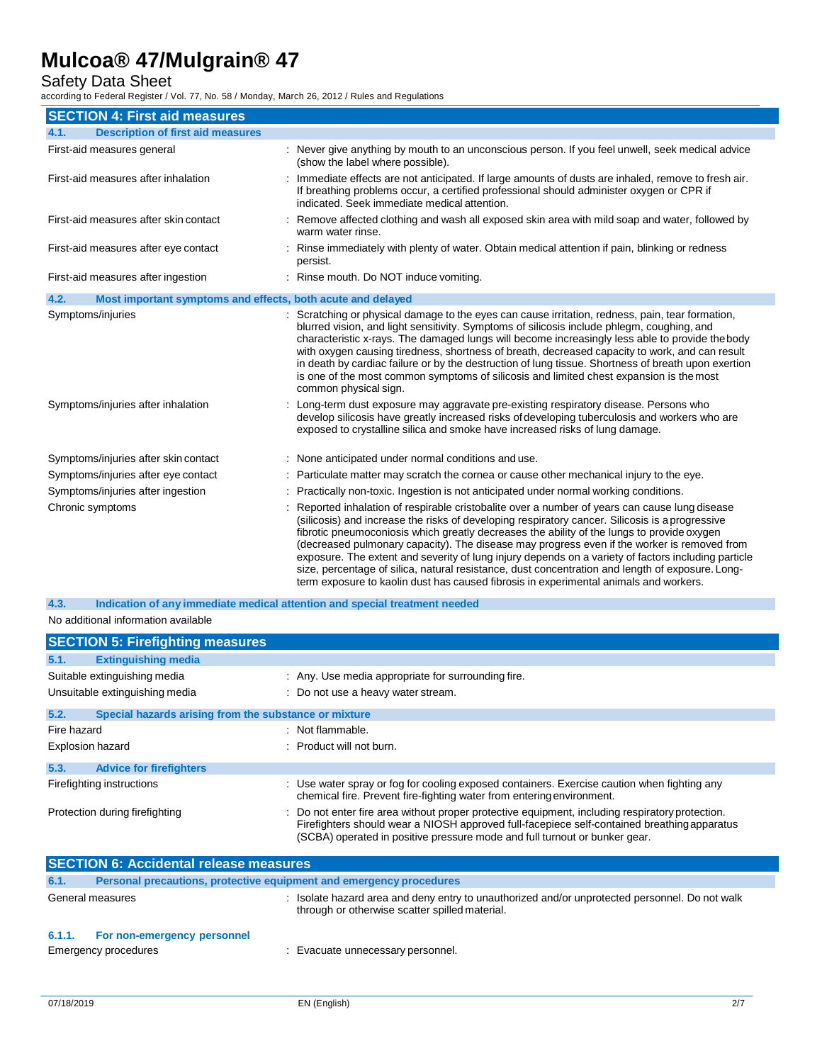# Safety Data Sheet

according to Federal Register / Vol. 77, No. 58 / Monday, March 26, 2012 / Rules and Regulations

| <b>SECTION 4: First aid measures</b>                                |                                                                                                                                                                                                                                                                                                                                                                                                                                                                                                                                                                                                                                                                                                  |
|---------------------------------------------------------------------|--------------------------------------------------------------------------------------------------------------------------------------------------------------------------------------------------------------------------------------------------------------------------------------------------------------------------------------------------------------------------------------------------------------------------------------------------------------------------------------------------------------------------------------------------------------------------------------------------------------------------------------------------------------------------------------------------|
| <b>Description of first aid measures</b><br>4.1.                    |                                                                                                                                                                                                                                                                                                                                                                                                                                                                                                                                                                                                                                                                                                  |
| First-aid measures general                                          | : Never give anything by mouth to an unconscious person. If you feel unwell, seek medical advice<br>(show the label where possible).                                                                                                                                                                                                                                                                                                                                                                                                                                                                                                                                                             |
| First-aid measures after inhalation                                 | Immediate effects are not anticipated. If large amounts of dusts are inhaled, remove to fresh air.<br>If breathing problems occur, a certified professional should administer oxygen or CPR if<br>indicated. Seek immediate medical attention.                                                                                                                                                                                                                                                                                                                                                                                                                                                   |
| First-aid measures after skin contact                               | Remove affected clothing and wash all exposed skin area with mild soap and water, followed by<br>warm water rinse.                                                                                                                                                                                                                                                                                                                                                                                                                                                                                                                                                                               |
| First-aid measures after eye contact                                | : Rinse immediately with plenty of water. Obtain medical attention if pain, blinking or redness<br>persist.                                                                                                                                                                                                                                                                                                                                                                                                                                                                                                                                                                                      |
| First-aid measures after ingestion                                  | : Rinse mouth. Do NOT induce vomiting.                                                                                                                                                                                                                                                                                                                                                                                                                                                                                                                                                                                                                                                           |
| 4.2.<br>Most important symptoms and effects, both acute and delayed |                                                                                                                                                                                                                                                                                                                                                                                                                                                                                                                                                                                                                                                                                                  |
| Symptoms/injuries                                                   | : Scratching or physical damage to the eyes can cause irritation, redness, pain, tear formation,<br>blurred vision, and light sensitivity. Symptoms of silicosis include phlegm, coughing, and<br>characteristic x-rays. The damaged lungs will become increasingly less able to provide the body<br>with oxygen causing tiredness, shortness of breath, decreased capacity to work, and can result<br>in death by cardiac failure or by the destruction of lung tissue. Shortness of breath upon exertion<br>is one of the most common symptoms of silicosis and limited chest expansion is the most<br>common physical sign.                                                                   |
| Symptoms/injuries after inhalation                                  | : Long-term dust exposure may aggravate pre-existing respiratory disease. Persons who<br>develop silicosis have greatly increased risks of developing tuberculosis and workers who are<br>exposed to crystalline silica and smoke have increased risks of lung damage.                                                                                                                                                                                                                                                                                                                                                                                                                           |
| Symptoms/injuries after skin contact                                | : None anticipated under normal conditions and use.                                                                                                                                                                                                                                                                                                                                                                                                                                                                                                                                                                                                                                              |
| Symptoms/injuries after eye contact                                 | : Particulate matter may scratch the cornea or cause other mechanical injury to the eye.                                                                                                                                                                                                                                                                                                                                                                                                                                                                                                                                                                                                         |
| Symptoms/injuries after ingestion                                   | : Practically non-toxic. Ingestion is not anticipated under normal working conditions.                                                                                                                                                                                                                                                                                                                                                                                                                                                                                                                                                                                                           |
| Chronic symptoms                                                    | Reported inhalation of respirable cristobalite over a number of years can cause lung disease<br>(silicosis) and increase the risks of developing respiratory cancer. Silicosis is a progressive<br>fibrotic pneumoconiosis which greatly decreases the ability of the lungs to provide oxygen<br>(decreased pulmonary capacity). The disease may progress even if the worker is removed from<br>exposure. The extent and severity of lung injury depends on a variety of factors including particle<br>size, percentage of silica, natural resistance, dust concentration and length of exposure. Long-<br>term exposure to kaolin dust has caused fibrosis in experimental animals and workers. |

No additional information available **4.3. Indication of any immediate medical attention and special treatment needed**

| <b>SECTION 5: Firefighting measures</b>                       |                                                                                                                                                                                                                                                                              |
|---------------------------------------------------------------|------------------------------------------------------------------------------------------------------------------------------------------------------------------------------------------------------------------------------------------------------------------------------|
| 5.1.<br><b>Extinguishing media</b>                            |                                                                                                                                                                                                                                                                              |
| Suitable extinguishing media                                  | : Any. Use media appropriate for surrounding fire.                                                                                                                                                                                                                           |
| Unsuitable extinguishing media                                | : Do not use a heavy water stream.                                                                                                                                                                                                                                           |
| 5.2.<br>Special hazards arising from the substance or mixture |                                                                                                                                                                                                                                                                              |
| Fire hazard                                                   | : Not flammable.                                                                                                                                                                                                                                                             |
| <b>Explosion hazard</b>                                       | : Product will not burn.                                                                                                                                                                                                                                                     |
| 5.3.<br><b>Advice for firefighters</b>                        |                                                                                                                                                                                                                                                                              |
| Firefighting instructions                                     | : Use water spray or fog for cooling exposed containers. Exercise caution when fighting any<br>chemical fire. Prevent fire-fighting water from entering environment.                                                                                                         |
| Protection during firefighting                                | : Do not enter fire area without proper protective equipment, including respiratory protection.<br>Firefighters should wear a NIOSH approved full-facepiece self-contained breathing apparatus<br>(SCBA) operated in positive pressure mode and full turnout or bunker gear. |
|                                                               |                                                                                                                                                                                                                                                                              |

|                  | <b>SECTION 6: Accidental release measures</b>                       |                                                                                                                                                  |
|------------------|---------------------------------------------------------------------|--------------------------------------------------------------------------------------------------------------------------------------------------|
| 6.1.             | Personal precautions, protective equipment and emergency procedures |                                                                                                                                                  |
| General measures |                                                                     | : Isolate hazard area and deny entry to unauthorized and/or unprotected personnel. Do not walk<br>through or otherwise scatter spilled material. |
| 6.1.1.           | For non-emergency personnel<br>Emergency procedures                 | : Evacuate unnecessary personnel.                                                                                                                |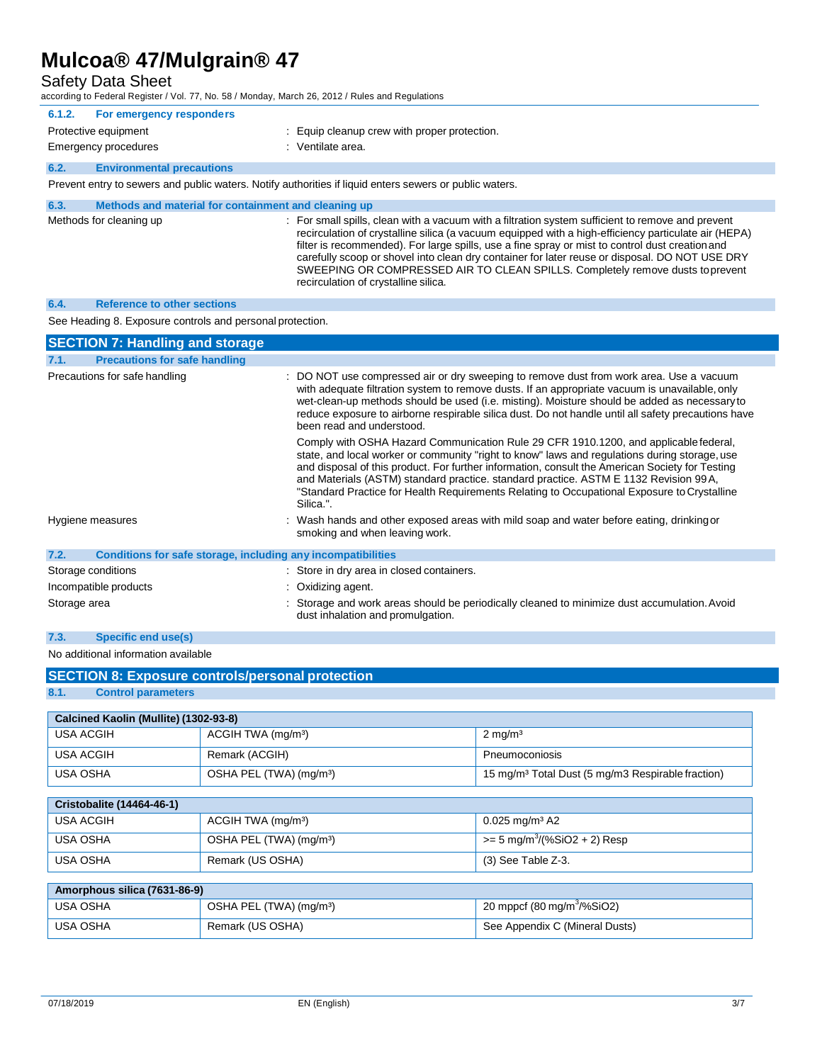Safety Data Sheet

according to Federal Register / Vol. 77, No. 58 / Monday, March 26, 2012 / Rules and Regulations

| 6.1.2. | For emergency responders                             |                                                                                                         |
|--------|------------------------------------------------------|---------------------------------------------------------------------------------------------------------|
|        | Protective equipment                                 | Equip cleanup crew with proper protection.                                                              |
|        | <b>Emergency procedures</b>                          | : Ventilate area.                                                                                       |
| 6.2.   | <b>Environmental precautions</b>                     |                                                                                                         |
|        |                                                      | Prevent entry to sewers and public waters. Notify authorities if liquid enters sewers or public waters. |
| 6.3.   | Methods and material for containment and cleaning up |                                                                                                         |

| Methods for cleaning up | : For small spills, clean with a vacuum with a filtration system sufficient to remove and prevent<br>recirculation of crystalline silica (a vacuum equipped with a high-efficiency particulate air (HEPA)<br>filter is recommended). For large spills, use a fine spray or mist to control dust creation and<br>carefully scoop or shovel into clean dry container for later reuse or disposal. DO NOT USE DRY<br>SWEEPING OR COMPRESSED AIR TO CLEAN SPILLS. Completely remove dusts to prevent<br>recirculation of crystalline silica. |
|-------------------------|------------------------------------------------------------------------------------------------------------------------------------------------------------------------------------------------------------------------------------------------------------------------------------------------------------------------------------------------------------------------------------------------------------------------------------------------------------------------------------------------------------------------------------------|
|                         |                                                                                                                                                                                                                                                                                                                                                                                                                                                                                                                                          |

# **6.4. Reference to other sections**

See Heading 8. Exposure controls and personal protection.

| <b>SECTION 7: Handling and storage</b>                               |                                                                                                                                                                                                                                                                                                                                                                                                                                                                                              |
|----------------------------------------------------------------------|----------------------------------------------------------------------------------------------------------------------------------------------------------------------------------------------------------------------------------------------------------------------------------------------------------------------------------------------------------------------------------------------------------------------------------------------------------------------------------------------|
| <b>Precautions for safe handling</b><br>7.1.                         |                                                                                                                                                                                                                                                                                                                                                                                                                                                                                              |
| Precautions for safe handling                                        | : DO NOT use compressed air or dry sweeping to remove dust from work area. Use a vacuum<br>with adequate filtration system to remove dusts. If an appropriate vacuum is unavailable, only<br>wet-clean-up methods should be used (i.e. misting). Moisture should be added as necessary to<br>reduce exposure to airborne respirable silica dust. Do not handle until all safety precautions have<br>been read and understood.                                                                |
|                                                                      | Comply with OSHA Hazard Communication Rule 29 CFR 1910.1200, and applicable federal,<br>state, and local worker or community "right to know" laws and regulations during storage, use<br>and disposal of this product. For further information, consult the American Society for Testing<br>and Materials (ASTM) standard practice. standard practice. ASTM E 1132 Revision 99A,<br>"Standard Practice for Health Requirements Relating to Occupational Exposure to Crystalline<br>Silica.". |
| Hygiene measures                                                     | : Wash hands and other exposed areas with mild soap and water before eating, drinking or<br>smoking and when leaving work.                                                                                                                                                                                                                                                                                                                                                                   |
| 7.2.<br>Conditions for safe storage, including any incompatibilities |                                                                                                                                                                                                                                                                                                                                                                                                                                                                                              |
| Storage conditions                                                   | : Store in dry area in closed containers.                                                                                                                                                                                                                                                                                                                                                                                                                                                    |
| Incompatible products                                                | : Oxidizing agent.                                                                                                                                                                                                                                                                                                                                                                                                                                                                           |
| Storage area                                                         | : Storage and work areas should be periodically cleaned to minimize dust accumulation. Avoid<br>dust inhalation and promulgation.                                                                                                                                                                                                                                                                                                                                                            |

# **7.3. Specific end use(s)**

No additional information available

|                                       | <b>SECTION 8: Exposure controls/personal protection</b> |                                                               |
|---------------------------------------|---------------------------------------------------------|---------------------------------------------------------------|
| 8.1.<br><b>Control parameters</b>     |                                                         |                                                               |
| Calcined Kaolin (Mullite) (1302-93-8) |                                                         |                                                               |
| <b>USA ACGIH</b>                      | ACGIH TWA (mg/m <sup>3</sup> )                          | $2 \text{ mg/m}^3$                                            |
| <b>USA ACGIH</b>                      | Remark (ACGIH)                                          | Pneumoconiosis                                                |
| <b>USA OSHA</b>                       | OSHA PEL (TWA) (mg/m <sup>3</sup> )                     | 15 mg/m <sup>3</sup> Total Dust (5 mg/m3 Respirable fraction) |
| <b>Cristobalite (14464-46-1)</b>      |                                                         |                                                               |
| <b>USA ACGIH</b>                      | ACGIH TWA (mg/m <sup>3</sup> )                          | $0.025$ mg/m <sup>3</sup> A2                                  |
| <b>USA OSHA</b>                       | OSHA PEL (TWA) (mg/m <sup>3</sup> )                     | $>= 5$ mg/m <sup>3</sup> /(%SiO2 + 2) Resp                    |
| <b>USA OSHA</b>                       | Remark (US OSHA)                                        | (3) See Table Z-3.                                            |
|                                       |                                                         |                                                               |
| Amorphous silica (7631-86-9)          |                                                         |                                                               |
| HCMOCHA                               | $\bigcap$ CLIA DEL $\bigcap \{M\}\bigcup \{m, n\}$      | 20 mond (00 malm <sup>3</sup> /0/ $C(0)$ )                    |

| USA OSHA | OSHA PEL (TWA) (mg/m <sup>3</sup> ) | 20 mppcf (80 mg/m <sup>3</sup> /%SiO2) |
|----------|-------------------------------------|----------------------------------------|
| USA OSHA | Remark (US OSHA)                    | See Appendix C (Mineral Dusts)         |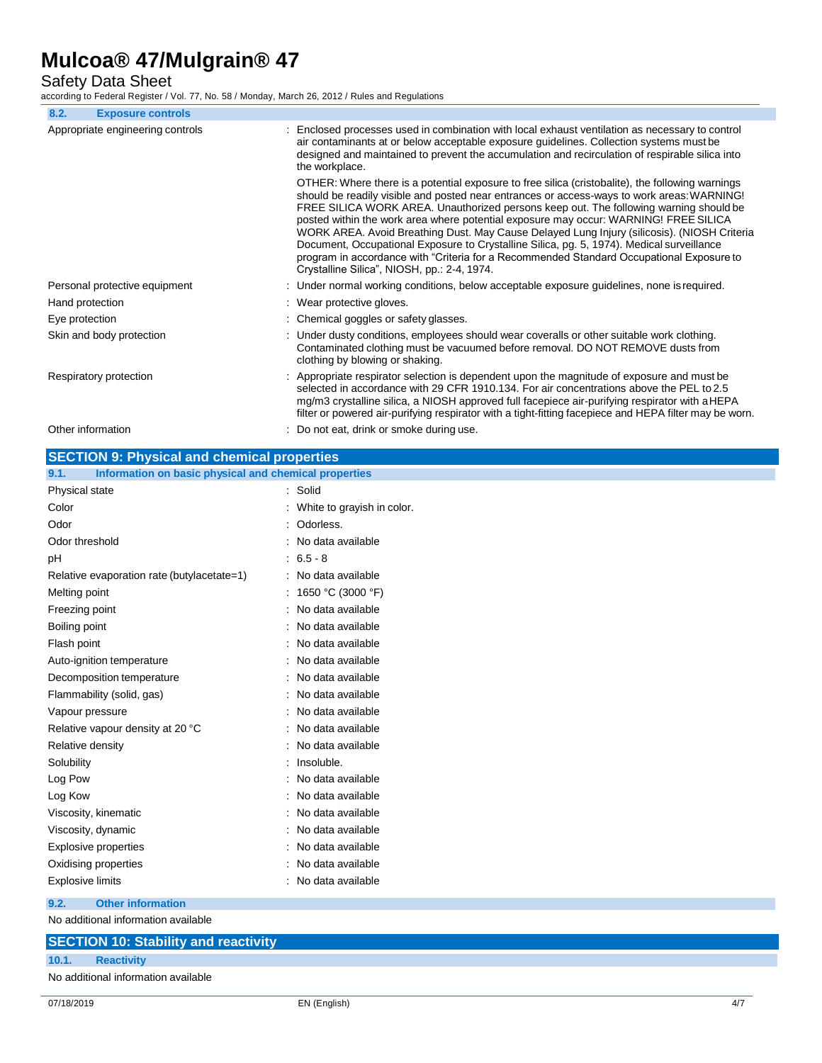Safety Data Sheet

according to Federal Register / Vol. 77, No. 58 / Monday, March 26, 2012 / Rules and Regulations

| 8.2.<br><b>Exposure controls</b>                   |                                                                                                                                                                                                                                                                                                                                                                                                                                                                                                                                                                                                                                                                                                                        |
|----------------------------------------------------|------------------------------------------------------------------------------------------------------------------------------------------------------------------------------------------------------------------------------------------------------------------------------------------------------------------------------------------------------------------------------------------------------------------------------------------------------------------------------------------------------------------------------------------------------------------------------------------------------------------------------------------------------------------------------------------------------------------------|
| Appropriate engineering controls                   | : Enclosed processes used in combination with local exhaust ventilation as necessary to control<br>air contaminants at or below acceptable exposure guidelines. Collection systems must be<br>designed and maintained to prevent the accumulation and recirculation of respirable silica into<br>the workplace.                                                                                                                                                                                                                                                                                                                                                                                                        |
|                                                    | OTHER: Where there is a potential exposure to free silica (cristobalite), the following warnings<br>should be readily visible and posted near entrances or access-ways to work areas: WARNING!<br>FREE SILICA WORK AREA. Unauthorized persons keep out. The following warning should be<br>posted within the work area where potential exposure may occur: WARNING! FREE SILICA<br>WORK AREA. Avoid Breathing Dust. May Cause Delayed Lung Injury (silicosis). (NIOSH Criteria<br>Document, Occupational Exposure to Crystalline Silica, pg. 5, 1974). Medical surveillance<br>program in accordance with "Criteria for a Recommended Standard Occupational Exposure to<br>Crystalline Silica", NIOSH, pp.: 2-4, 1974. |
| Personal protective equipment                      | : Under normal working conditions, below acceptable exposure guidelines, none is required.                                                                                                                                                                                                                                                                                                                                                                                                                                                                                                                                                                                                                             |
| Hand protection                                    | : Wear protective gloves.                                                                                                                                                                                                                                                                                                                                                                                                                                                                                                                                                                                                                                                                                              |
| Eye protection                                     | : Chemical goggles or safety glasses.                                                                                                                                                                                                                                                                                                                                                                                                                                                                                                                                                                                                                                                                                  |
| Skin and body protection                           | : Under dusty conditions, employees should wear coveralls or other suitable work clothing.<br>Contaminated clothing must be vacuumed before removal. DO NOT REMOVE dusts from<br>clothing by blowing or shaking.                                                                                                                                                                                                                                                                                                                                                                                                                                                                                                       |
| Respiratory protection                             | : Appropriate respirator selection is dependent upon the magnitude of exposure and must be<br>selected in accordance with 29 CFR 1910.134. For air concentrations above the PEL to 2.5<br>mg/m3 crystalline silica, a NIOSH approved full facepiece air-purifying respirator with aHEPA<br>filter or powered air-purifying respirator with a tight-fitting facepiece and HEPA filter may be worn.                                                                                                                                                                                                                                                                                                                      |
| Other information                                  | : Do not eat, drink or smoke during use.                                                                                                                                                                                                                                                                                                                                                                                                                                                                                                                                                                                                                                                                               |
| <b>SECTION 0: Physical and chamical proportios</b> |                                                                                                                                                                                                                                                                                                                                                                                                                                                                                                                                                                                                                                                                                                                        |

| <u>ULUTION 9. Thysical and chemical properties</u>            |                            |
|---------------------------------------------------------------|----------------------------|
| Information on basic physical and chemical properties<br>9.1. |                            |
| Physical state                                                | : Solid                    |
| Color                                                         | White to grayish in color. |
| Odor                                                          | Odorless.                  |
| Odor threshold                                                | No data available          |
| рH                                                            | $: 6.5 - 8$                |
| Relative evaporation rate (butylacetate=1)                    | : No data available        |
| Melting point                                                 | : 1650 °C (3000 °F)        |
| Freezing point                                                | No data available          |
| Boiling point                                                 | No data available          |
| Flash point                                                   | No data available          |
| Auto-ignition temperature                                     | : No data available        |
| Decomposition temperature                                     | No data available          |
| Flammability (solid, gas)                                     | No data available          |
| Vapour pressure                                               | No data available          |
| Relative vapour density at 20 °C                              | No data available          |
| Relative density                                              | No data available          |
| Solubility                                                    | Insoluble.                 |
| Log Pow                                                       | No data available          |
| Log Kow                                                       | No data available          |
| Viscosity, kinematic                                          | No data available          |
| Viscosity, dynamic                                            | No data available          |
| <b>Explosive properties</b>                                   | No data available          |
| Oxidising properties                                          | No data available          |
| <b>Explosive limits</b>                                       | No data available          |
| 9.2.<br><b>Other information</b>                              |                            |

No additional information available

|       | <b>SECTION 10: Stability and reactivity</b> |
|-------|---------------------------------------------|
| 10.1. | <b>Reactivity</b>                           |
|       | No additional information available         |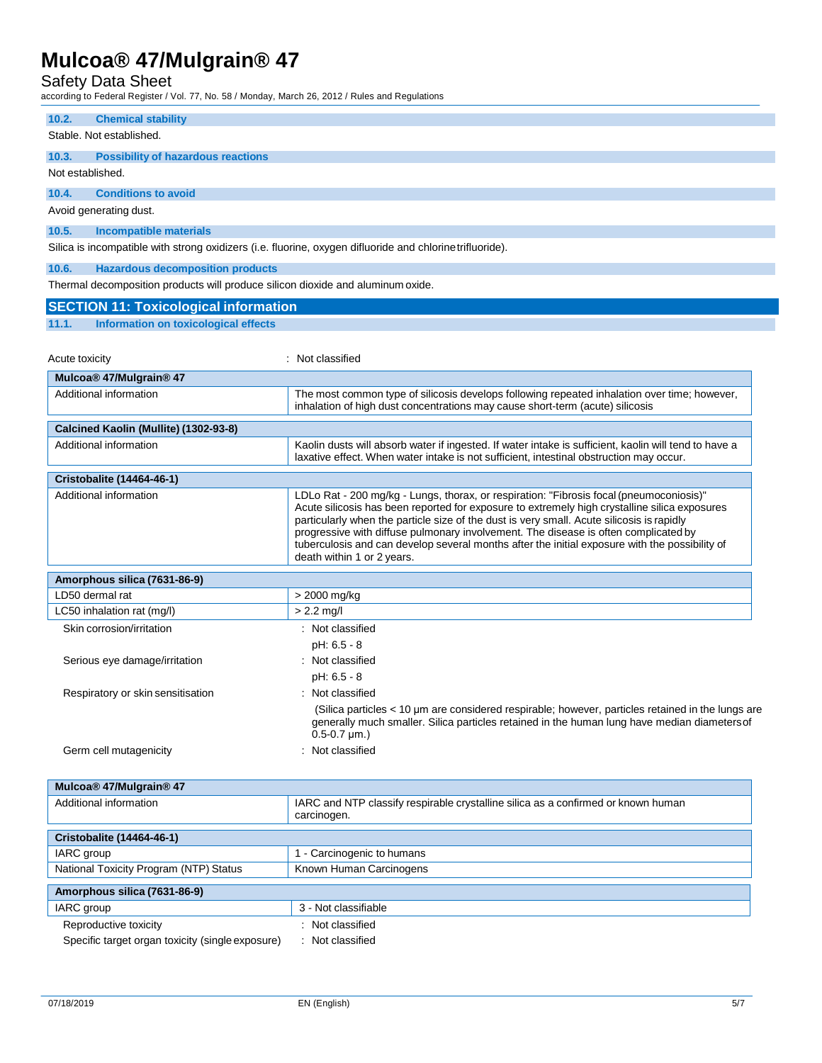Safety Data Sheet

according to Federal Register / Vol. 77, No. 58 / Monday, March 26, 2012 / Rules and Regulations

| ccording to Federal Register / Vol. 77, No. 587 Monday, March 26, 2012 / Rules and Regulations |                                                                                                                                                                                                                                                                                                                                                                                                                                                                                                              |
|------------------------------------------------------------------------------------------------|--------------------------------------------------------------------------------------------------------------------------------------------------------------------------------------------------------------------------------------------------------------------------------------------------------------------------------------------------------------------------------------------------------------------------------------------------------------------------------------------------------------|
| 10.2.<br><b>Chemical stability</b>                                                             |                                                                                                                                                                                                                                                                                                                                                                                                                                                                                                              |
| Stable. Not established.                                                                       |                                                                                                                                                                                                                                                                                                                                                                                                                                                                                                              |
| 10.3.<br><b>Possibility of hazardous reactions</b>                                             |                                                                                                                                                                                                                                                                                                                                                                                                                                                                                                              |
| Not established.                                                                               |                                                                                                                                                                                                                                                                                                                                                                                                                                                                                                              |
| <b>Conditions to avoid</b><br>10.4.                                                            |                                                                                                                                                                                                                                                                                                                                                                                                                                                                                                              |
| Avoid generating dust.                                                                         |                                                                                                                                                                                                                                                                                                                                                                                                                                                                                                              |
| 10.5.<br>Incompatible materials                                                                |                                                                                                                                                                                                                                                                                                                                                                                                                                                                                                              |
|                                                                                                | Silica is incompatible with strong oxidizers (i.e. fluorine, oxygen difluoride and chlorine trifluoride).                                                                                                                                                                                                                                                                                                                                                                                                    |
|                                                                                                |                                                                                                                                                                                                                                                                                                                                                                                                                                                                                                              |
| <b>Hazardous decomposition products</b><br>10.6.                                               |                                                                                                                                                                                                                                                                                                                                                                                                                                                                                                              |
| Thermal decomposition products will produce silicon dioxide and aluminum oxide.                |                                                                                                                                                                                                                                                                                                                                                                                                                                                                                                              |
| <b>SECTION 11: Toxicological information</b>                                                   |                                                                                                                                                                                                                                                                                                                                                                                                                                                                                                              |
| 11.1.<br>Information on toxicological effects                                                  |                                                                                                                                                                                                                                                                                                                                                                                                                                                                                                              |
|                                                                                                |                                                                                                                                                                                                                                                                                                                                                                                                                                                                                                              |
| Acute toxicity                                                                                 | : Not classified                                                                                                                                                                                                                                                                                                                                                                                                                                                                                             |
| Mulcoa® 47/Mulgrain® 47                                                                        |                                                                                                                                                                                                                                                                                                                                                                                                                                                                                                              |
| Additional information                                                                         | The most common type of silicosis develops following repeated inhalation over time; however,<br>inhalation of high dust concentrations may cause short-term (acute) silicosis                                                                                                                                                                                                                                                                                                                                |
| Calcined Kaolin (Mullite) (1302-93-8)                                                          |                                                                                                                                                                                                                                                                                                                                                                                                                                                                                                              |
| Additional information                                                                         | Kaolin dusts will absorb water if ingested. If water intake is sufficient, kaolin will tend to have a                                                                                                                                                                                                                                                                                                                                                                                                        |
|                                                                                                | laxative effect. When water intake is not sufficient, intestinal obstruction may occur.                                                                                                                                                                                                                                                                                                                                                                                                                      |
| Cristobalite (14464-46-1)                                                                      |                                                                                                                                                                                                                                                                                                                                                                                                                                                                                                              |
| Additional information                                                                         | LDLo Rat - 200 mg/kg - Lungs, thorax, or respiration: "Fibrosis focal (pneumoconiosis)"<br>Acute silicosis has been reported for exposure to extremely high crystalline silica exposures<br>particularly when the particle size of the dust is very small. Acute silicosis is rapidly<br>progressive with diffuse pulmonary involvement. The disease is often complicated by<br>tuberculosis and can develop several months after the initial exposure with the possibility of<br>death within 1 or 2 years. |
| Amorphous silica (7631-86-9)                                                                   |                                                                                                                                                                                                                                                                                                                                                                                                                                                                                                              |
| LD50 dermal rat                                                                                | > 2000 mg/kg                                                                                                                                                                                                                                                                                                                                                                                                                                                                                                 |
| LC50 inhalation rat (mg/l)                                                                     | $> 2.2$ mg/l                                                                                                                                                                                                                                                                                                                                                                                                                                                                                                 |
| Skin corrosion/irritation                                                                      | : Not classified                                                                                                                                                                                                                                                                                                                                                                                                                                                                                             |
|                                                                                                | pH: 6.5 - 8                                                                                                                                                                                                                                                                                                                                                                                                                                                                                                  |
| Serious eye damage/irritation                                                                  | : Not classified                                                                                                                                                                                                                                                                                                                                                                                                                                                                                             |
|                                                                                                | pH: 6.5 - 8                                                                                                                                                                                                                                                                                                                                                                                                                                                                                                  |
| Respiratory or skin sensitisation                                                              | Not classified                                                                                                                                                                                                                                                                                                                                                                                                                                                                                               |
|                                                                                                | (Silica particles < 10 µm are considered respirable; however, particles retained in the lungs are<br>generally much smaller. Silica particles retained in the human lung have median diameters of<br>$0.5 - 0.7 \mu m.$ )                                                                                                                                                                                                                                                                                    |
| Germ cell mutagenicity                                                                         | : Not classified                                                                                                                                                                                                                                                                                                                                                                                                                                                                                             |
|                                                                                                |                                                                                                                                                                                                                                                                                                                                                                                                                                                                                                              |
| Mulcoa® 47/Mulgrain® 47                                                                        |                                                                                                                                                                                                                                                                                                                                                                                                                                                                                                              |
| Additional information                                                                         | IARC and NTP classify respirable crystalline silica as a confirmed or known human<br>carcinogen.                                                                                                                                                                                                                                                                                                                                                                                                             |
| <b>Cristobalite (14464-46-1)</b>                                                               |                                                                                                                                                                                                                                                                                                                                                                                                                                                                                                              |
| IARC group                                                                                     | 1 - Carcinogenic to humans                                                                                                                                                                                                                                                                                                                                                                                                                                                                                   |
| National Toxicity Program (NTP) Status                                                         | Known Human Carcinogens                                                                                                                                                                                                                                                                                                                                                                                                                                                                                      |
| Amorphous silica (7631-86-9)                                                                   |                                                                                                                                                                                                                                                                                                                                                                                                                                                                                                              |
| IARC group                                                                                     | 3 - Not classifiable                                                                                                                                                                                                                                                                                                                                                                                                                                                                                         |
| Reproductive toxicity                                                                          | : Not classified                                                                                                                                                                                                                                                                                                                                                                                                                                                                                             |
| Specific target organ toxicity (single exposure)                                               | : Not classified                                                                                                                                                                                                                                                                                                                                                                                                                                                                                             |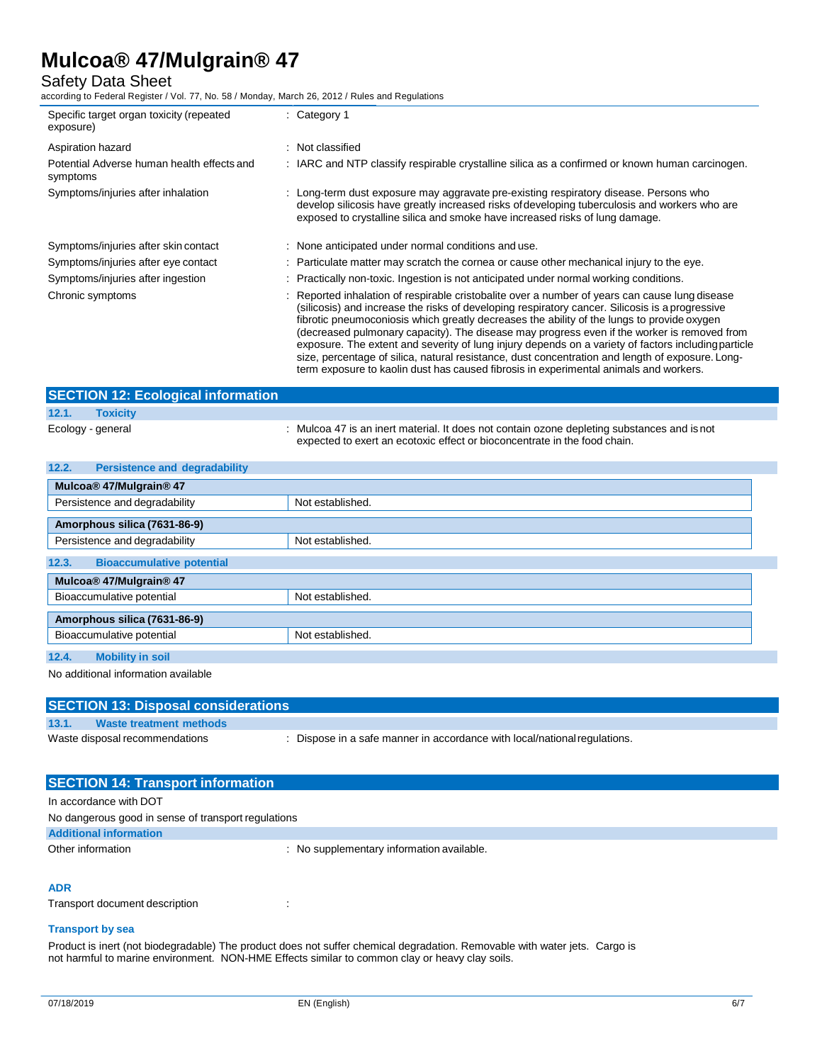# Safety Data Sheet

according to Federal Register / Vol. 77, No. 58 / Monday, March 26, 2012 / Rules and Regulations

| Specific target organ toxicity (repeated<br>exposure)  | $:$ Category 1                                                                                                                                                                                                                                                                                                                                                                                                                                                                                                                                                                                            |
|--------------------------------------------------------|-----------------------------------------------------------------------------------------------------------------------------------------------------------------------------------------------------------------------------------------------------------------------------------------------------------------------------------------------------------------------------------------------------------------------------------------------------------------------------------------------------------------------------------------------------------------------------------------------------------|
| Aspiration hazard                                      | : Not classified                                                                                                                                                                                                                                                                                                                                                                                                                                                                                                                                                                                          |
| Potential Adverse human health effects and<br>symptoms | : IARC and NTP classify respirable crystalline silica as a confirmed or known human carcinogen.                                                                                                                                                                                                                                                                                                                                                                                                                                                                                                           |
| Symptoms/injuries after inhalation                     | : Long-term dust exposure may aggravate pre-existing respiratory disease. Persons who<br>develop silicosis have greatly increased risks of developing tuberculosis and workers who are<br>exposed to crystalline silica and smoke have increased risks of lung damage.                                                                                                                                                                                                                                                                                                                                    |
| Symptoms/injuries after skin contact                   | : None anticipated under normal conditions and use.                                                                                                                                                                                                                                                                                                                                                                                                                                                                                                                                                       |
| Symptoms/injuries after eye contact                    | : Particulate matter may scratch the cornea or cause other mechanical injury to the eye.                                                                                                                                                                                                                                                                                                                                                                                                                                                                                                                  |
| Symptoms/injuries after ingestion                      | : Practically non-toxic. Ingestion is not anticipated under normal working conditions.                                                                                                                                                                                                                                                                                                                                                                                                                                                                                                                    |
| Chronic symptoms                                       | : Reported inhalation of respirable cristobalite over a number of years can cause lung disease<br>(silicosis) and increase the risks of developing respiratory cancer. Silicosis is a progressive<br>fibrotic pneumoconiosis which greatly decreases the ability of the lungs to provide oxygen<br>(decreased pulmonary capacity). The disease may progress even if the worker is removed from<br>exposure. The extent and severity of lung injury depends on a variety of factors including particle<br>size, percentage of silica, natural resistance, dust concentration and length of exposure. Long- |

|                   | <b>SECTION 12: Ecological information</b> |                                                                                                                                                                          |
|-------------------|-------------------------------------------|--------------------------------------------------------------------------------------------------------------------------------------------------------------------------|
| 12.1.             | <b>Toxicity</b>                           |                                                                                                                                                                          |
| Ecology - general |                                           | : Mulcoa 47 is an inert material. It does not contain ozone depleting substances and is not<br>expected to exert an ecotoxic effect or bioconcentrate in the food chain. |

term exposure to kaolin dust has caused fibrosis in experimental animals and workers.

| 12.2.<br><b>Persistence and degradability</b> |                  |  |
|-----------------------------------------------|------------------|--|
| Mulcoa® 47/Mulgrain® 47                       |                  |  |
| Persistence and degradability                 | Not established. |  |
| Amorphous silica (7631-86-9)                  |                  |  |
| Persistence and degradability                 | Not established. |  |
| 12.3.<br><b>Bioaccumulative potential</b>     |                  |  |
| Mulcoa® 47/Mulgrain® 47                       |                  |  |
| Bioaccumulative potential                     | Not established. |  |
| Amorphous silica (7631-86-9)                  |                  |  |
| Bioaccumulative potential<br>Not established. |                  |  |
| 12.4.<br><b>Mobility in soil</b>              |                  |  |

No additional information available

| <b>SECTION 13: Disposal considerations</b> |                                |                                                                         |
|--------------------------------------------|--------------------------------|-------------------------------------------------------------------------|
| 13.1.                                      | <b>Waste treatment methods</b> |                                                                         |
|                                            | Waste disposal recommendations | Dispose in a safe manner in accordance with local/national regulations. |
|                                            |                                |                                                                         |

| <b>SECTION 14: Transport information</b>            |                                           |
|-----------------------------------------------------|-------------------------------------------|
| In accordance with DOT                              |                                           |
| No dangerous good in sense of transport regulations |                                           |
| <b>Additional information</b>                       |                                           |
| Other information                                   | : No supplementary information available. |

# **ADR**

Transport document description : :

# **Transport by sea**

Product is inert (not biodegradable) The product does not suffer chemical degradation. Removable with water jets. Cargo is not harmful to marine environment. NON-HME Effects similar to common clay or heavy clay soils.